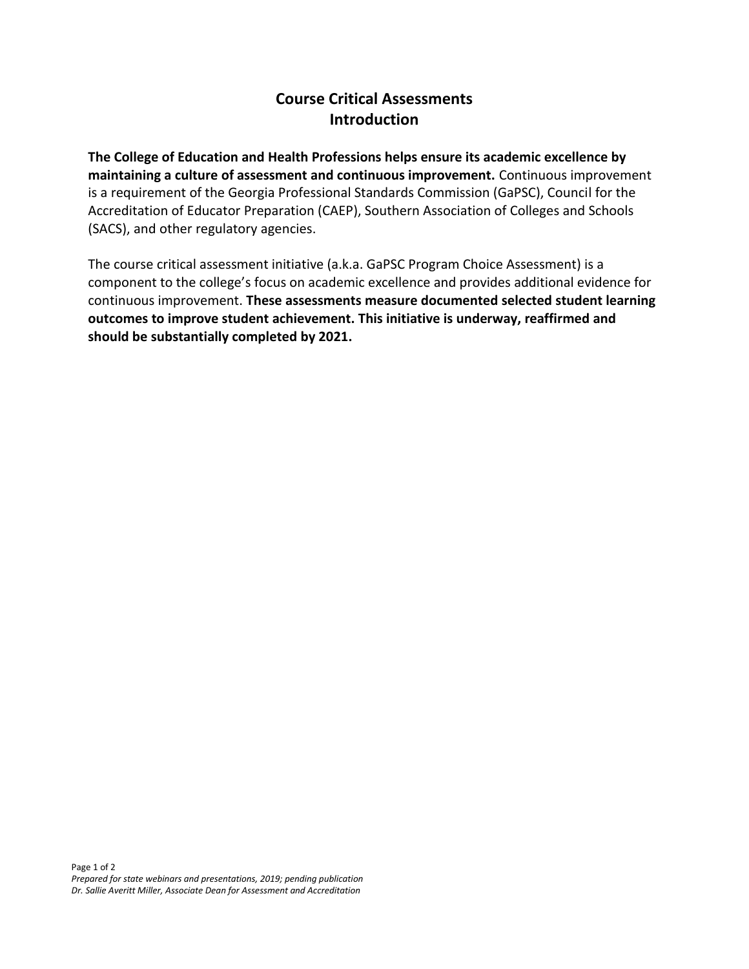## **Course Critical Assessments Introduction**

**The College of Education and Health Professions helps ensure its academic excellence by maintaining a culture of assessment and continuous improvement.** Continuous improvement is a requirement of the Georgia Professional Standards Commission (GaPSC), Council for the Accreditation of Educator Preparation (CAEP), Southern Association of Colleges and Schools (SACS), and other regulatory agencies.

The course critical assessment initiative (a.k.a. GaPSC Program Choice Assessment) is a component to the college's focus on academic excellence and provides additional evidence for continuous improvement. **These assessments measure documented selected student learning outcomes to improve student achievement. This initiative is underway, reaffirmed and should be substantially completed by 2021.**